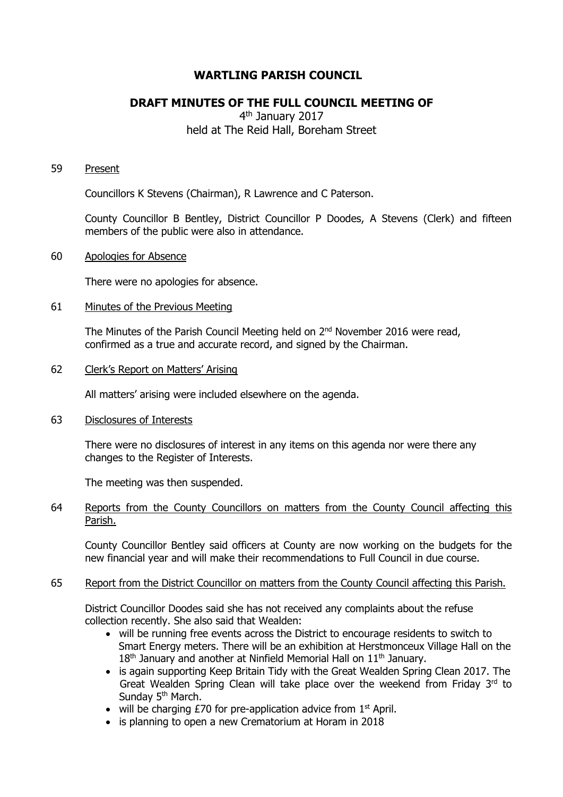# **WARTLING PARISH COUNCIL**

# **DRAFT MINUTES OF THE FULL COUNCIL MEETING OF**

# 4<sup>th</sup> January 2017 held at The Reid Hall, Boreham Street

#### 59 Present

Councillors K Stevens (Chairman), R Lawrence and C Paterson.

County Councillor B Bentley, District Councillor P Doodes, A Stevens (Clerk) and fifteen members of the public were also in attendance.

### 60 Apologies for Absence

There were no apologies for absence.

### 61 Minutes of the Previous Meeting

The Minutes of the Parish Council Meeting held on  $2<sup>nd</sup>$  November 2016 were read, confirmed as a true and accurate record, and signed by the Chairman.

## 62 Clerk's Report on Matters' Arising

All matters' arising were included elsewhere on the agenda.

#### 63 Disclosures of Interests

There were no disclosures of interest in any items on this agenda nor were there any changes to the Register of Interests.

The meeting was then suspended.

## 64 Reports from the County Councillors on matters from the County Council affecting this Parish.

County Councillor Bentley said officers at County are now working on the budgets for the new financial year and will make their recommendations to Full Council in due course.

## 65 Report from the District Councillor on matters from the County Council affecting this Parish.

District Councillor Doodes said she has not received any complaints about the refuse collection recently. She also said that Wealden:

- will be running free events across the District to encourage residents to switch to Smart Energy meters. There will be an exhibition at Herstmonceux Village Hall on the 18<sup>th</sup> January and another at Ninfield Memorial Hall on 11<sup>th</sup> Januarv.
- is again supporting Keep Britain Tidy with the Great Wealden Spring Clean 2017. The Great Wealden Spring Clean will take place over the weekend from Friday  $3<sup>rd</sup>$  to Sunday 5<sup>th</sup> March.
- $\bullet$  will be charging £70 for pre-application advice from 1<sup>st</sup> April.
- is planning to open a new Crematorium at Horam in 2018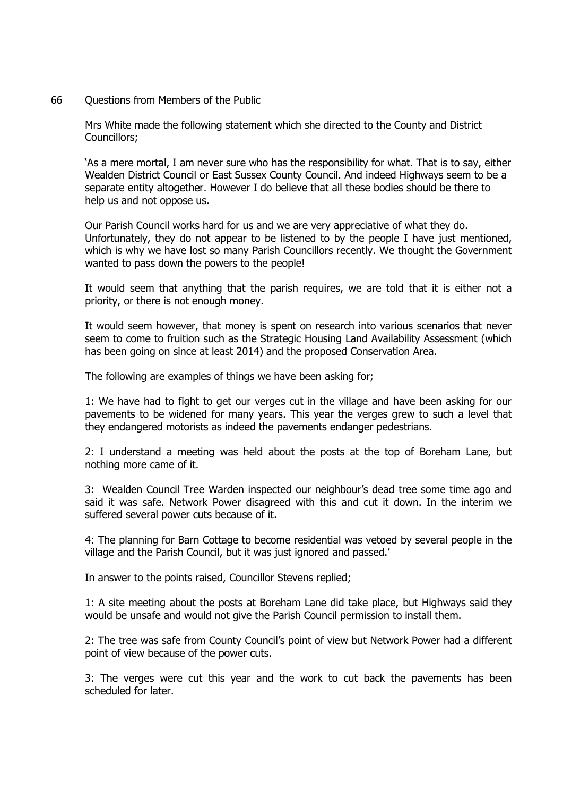## 66 Questions from Members of the Public

Mrs White made the following statement which she directed to the County and District Councillors;

'As a mere mortal, I am never sure who has the responsibility for what. That is to say, either Wealden District Council or East Sussex County Council. And indeed Highways seem to be a separate entity altogether. However I do believe that all these bodies should be there to help us and not oppose us.

Our Parish Council works hard for us and we are very appreciative of what they do. Unfortunately, they do not appear to be listened to by the people I have just mentioned, which is why we have lost so many Parish Councillors recently. We thought the Government wanted to pass down the powers to the people!

It would seem that anything that the parish requires, we are told that it is either not a priority, or there is not enough money.

It would seem however, that money is spent on research into various scenarios that never seem to come to fruition such as the Strategic Housing Land Availability Assessment (which has been going on since at least 2014) and the proposed Conservation Area.

The following are examples of things we have been asking for;

1: We have had to fight to get our verges cut in the village and have been asking for our pavements to be widened for many years. This year the verges grew to such a level that they endangered motorists as indeed the pavements endanger pedestrians.

2: I understand a meeting was held about the posts at the top of Boreham Lane, but nothing more came of it.

3: Wealden Council Tree Warden inspected our neighbour's dead tree some time ago and said it was safe. Network Power disagreed with this and cut it down. In the interim we suffered several power cuts because of it.

4: The planning for Barn Cottage to become residential was vetoed by several people in the village and the Parish Council, but it was just ignored and passed.'

In answer to the points raised, Councillor Stevens replied;

1: A site meeting about the posts at Boreham Lane did take place, but Highways said they would be unsafe and would not give the Parish Council permission to install them.

2: The tree was safe from County Council's point of view but Network Power had a different point of view because of the power cuts.

3: The verges were cut this year and the work to cut back the pavements has been scheduled for later.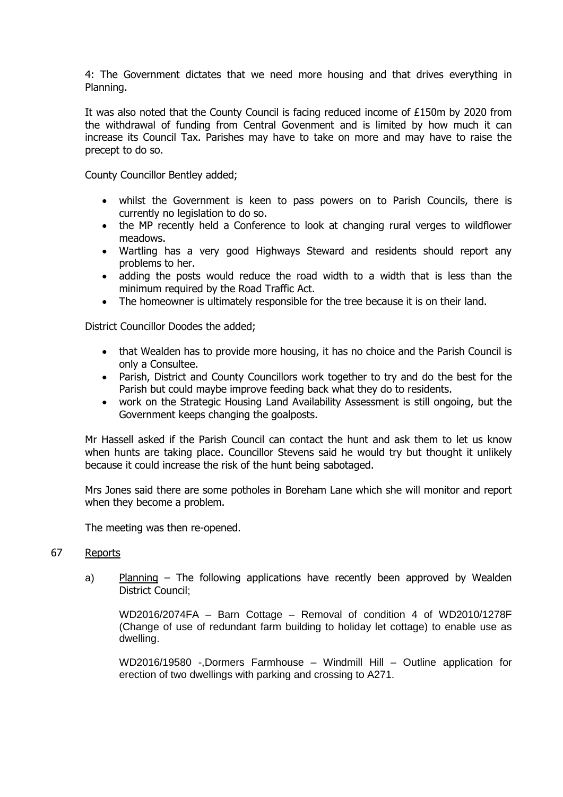4: The Government dictates that we need more housing and that drives everything in Planning.

It was also noted that the County Council is facing reduced income of £150m by 2020 from the withdrawal of funding from Central Govenment and is limited by how much it can increase its Council Tax. Parishes may have to take on more and may have to raise the precept to do so.

County Councillor Bentley added;

- whilst the Government is keen to pass powers on to Parish Councils, there is currently no legislation to do so.
- the MP recently held a Conference to look at changing rural verges to wildflower meadows.
- Wartling has a very good Highways Steward and residents should report any problems to her.
- adding the posts would reduce the road width to a width that is less than the minimum required by the Road Traffic Act.
- The homeowner is ultimately responsible for the tree because it is on their land.

District Councillor Doodes the added;

- that Wealden has to provide more housing, it has no choice and the Parish Council is only a Consultee.
- Parish, District and County Councillors work together to try and do the best for the Parish but could maybe improve feeding back what they do to residents.
- work on the Strategic Housing Land Availability Assessment is still ongoing, but the Government keeps changing the goalposts.

Mr Hassell asked if the Parish Council can contact the hunt and ask them to let us know when hunts are taking place. Councillor Stevens said he would try but thought it unlikely because it could increase the risk of the hunt being sabotaged.

Mrs Jones said there are some potholes in Boreham Lane which she will monitor and report when they become a problem.

The meeting was then re-opened.

#### 67 Reports

a) Planning – The following applications have recently been approved by Wealden District Council;

WD2016/2074FA – Barn Cottage – Removal of condition 4 of WD2010/1278F (Change of use of redundant farm building to holiday let cottage) to enable use as dwelling.

WD2016/19580 -,Dormers Farmhouse – Windmill Hill – Outline application for erection of two dwellings with parking and crossing to A271.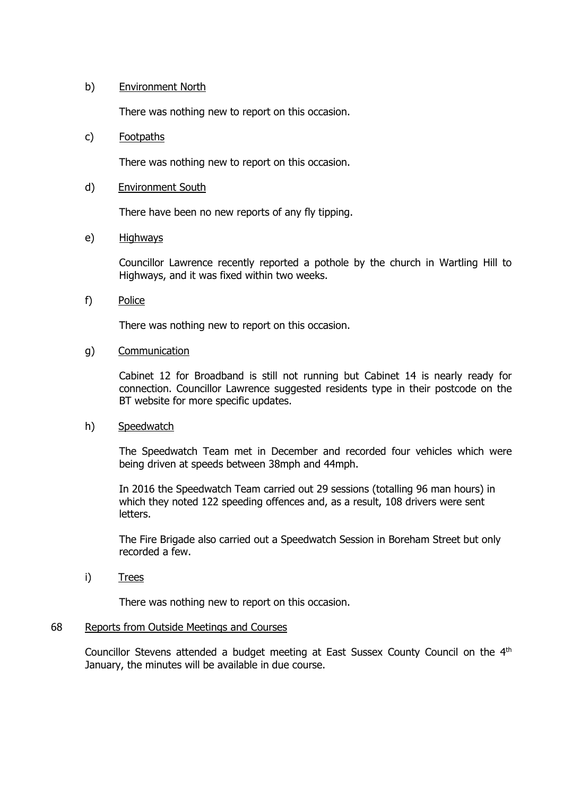## b) Environment North

There was nothing new to report on this occasion.

### c) Footpaths

There was nothing new to report on this occasion.

#### d) Environment South

There have been no new reports of any fly tipping.

### e) Highways

Councillor Lawrence recently reported a pothole by the church in Wartling Hill to Highways, and it was fixed within two weeks.

f) Police

There was nothing new to report on this occasion.

## g) Communication

Cabinet 12 for Broadband is still not running but Cabinet 14 is nearly ready for connection. Councillor Lawrence suggested residents type in their postcode on the BT website for more specific updates.

#### h) Speedwatch

The Speedwatch Team met in December and recorded four vehicles which were being driven at speeds between 38mph and 44mph.

In 2016 the Speedwatch Team carried out 29 sessions (totalling 96 man hours) in which they noted 122 speeding offences and, as a result, 108 drivers were sent letters.

The Fire Brigade also carried out a Speedwatch Session in Boreham Street but only recorded a few.

i) Trees

There was nothing new to report on this occasion.

## 68 Reports from Outside Meetings and Courses

Councillor Stevens attended a budget meeting at East Sussex County Council on the 4<sup>th</sup> January, the minutes will be available in due course.